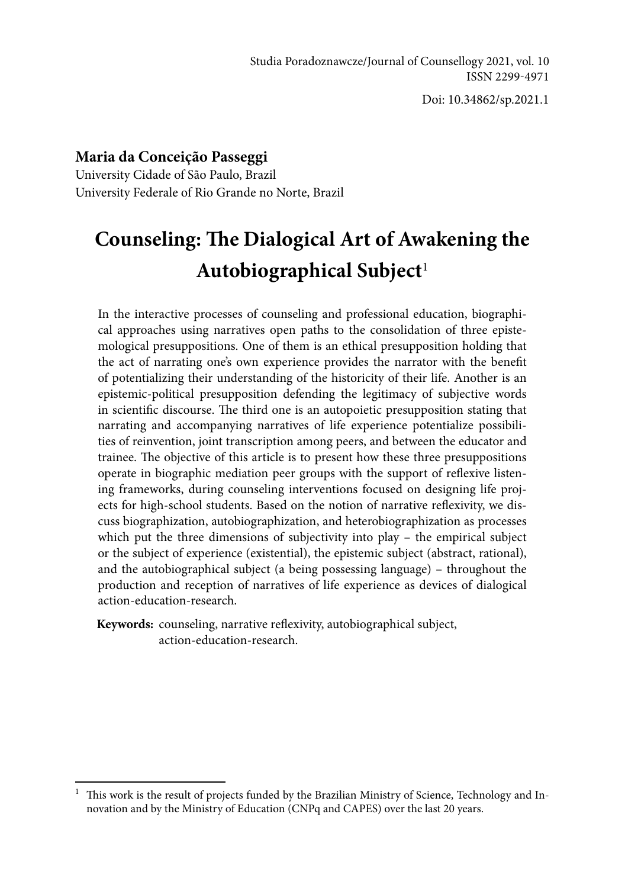Doi: 10.34862/sp.2021.1

## **Maria da Conceição Passeggi**

University Cidade of São Paulo, Brazil University Federale of Rio Grande no Norte, Brazil

# **Counseling: The Dialogical Art of Awakening the Autobiographical Subject**<sup>1</sup>

In the interactive processes of counseling and professional education, biographical approaches using narratives open paths to the consolidation of three epistemological presuppositions. One of them is an ethical presupposition holding that the act of narrating one's own experience provides the narrator with the benefit of potentializing their understanding of the historicity of their life. Another is an epistemic-political presupposition defending the legitimacy of subjective words in scientific discourse. The third one is an autopoietic presupposition stating that narrating and accompanying narratives of life experience potentialize possibilities of reinvention, joint transcription among peers, and between the educator and trainee. The objective of this article is to present how these three presuppositions operate in biographic mediation peer groups with the support of reflexive listening frameworks, during counseling interventions focused on designing life projects for high-school students. Based on the notion of narrative reflexivity, we discuss biographization, autobiographization, and heterobiographization as processes which put the three dimensions of subjectivity into play - the empirical subject or the subject of experience (existential), the epistemic subject (abstract, rational), and the autobiographical subject (a being possessing language) – throughout the production and reception of narratives of life experience as devices of dialogical action-education-research.

**Keywords:** counseling, narrative reflexivity, autobiographical subject, action-education-research.

<sup>&</sup>lt;sup>1</sup> This work is the result of projects funded by the Brazilian Ministry of Science, Technology and Innovation and by the Ministry of Education (CNPq and CAPES) over the last 20 years.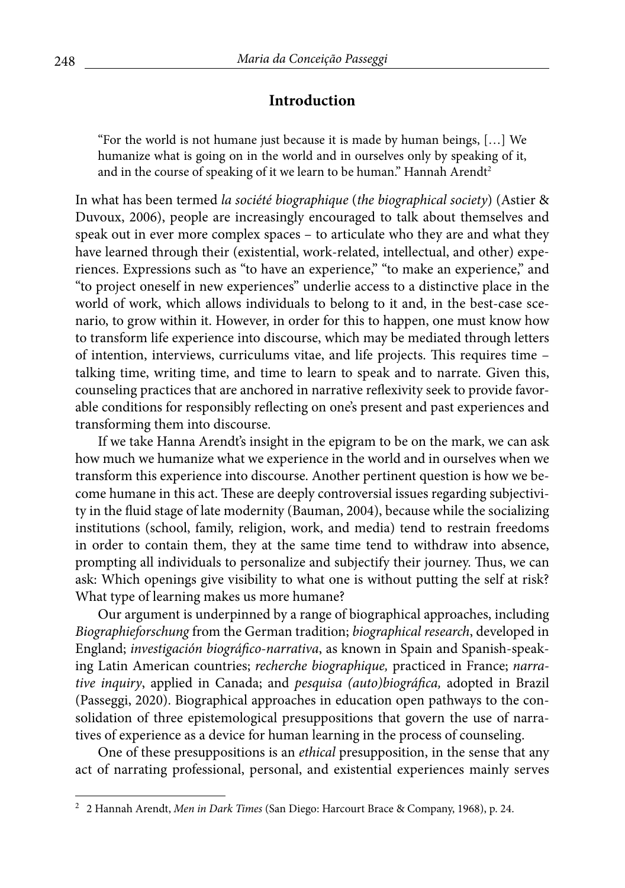#### **Introduction**

"For the world is not humane just because it is made by human beings, […] We humanize what is going on in the world and in ourselves only by speaking of it, and in the course of speaking of it we learn to be human." Hannah Arendt<sup>2</sup>

In what has been termed *la société biographique* (*the biographical society*) (Astier & Duvoux, 2006), people are increasingly encouraged to talk about themselves and speak out in ever more complex spaces – to articulate who they are and what they have learned through their (existential, work-related, intellectual, and other) experiences. Expressions such as "to have an experience," "to make an experience," and "to project oneself in new experiences" underlie access to a distinctive place in the world of work, which allows individuals to belong to it and, in the best-case scenario, to grow within it. However, in order for this to happen, one must know how to transform life experience into discourse, which may be mediated through letters of intention, interviews, curriculums vitae, and life projects. This requires time – talking time, writing time, and time to learn to speak and to narrate. Given this, counseling practices that are anchored in narrative reflexivity seek to provide favorable conditions for responsibly reflecting on one's present and past experiences and transforming them into discourse.

If we take Hanna Arendt's insight in the epigram to be on the mark, we can ask how much we humanize what we experience in the world and in ourselves when we transform this experience into discourse. Another pertinent question is how we become humane in this act. These are deeply controversial issues regarding subjectivity in the fluid stage of late modernity (Bauman, 2004), because while the socializing institutions (school, family, religion, work, and media) tend to restrain freedoms in order to contain them, they at the same time tend to withdraw into absence, prompting all individuals to personalize and subjectify their journey. Thus, we can ask: Which openings give visibility to what one is without putting the self at risk? What type of learning makes us more humane?

Our argument is underpinned by a range of biographical approaches, including *Biographieforschung* from the German tradition; *biographical research*, developed in England; *investigación biográfico-narrativa*, as known in Spain and Spanish-speaking Latin American countries; *recherche biographique,* practiced in France; *narrative inquiry*, applied in Canada; and *pesquisa (auto)biográfica,* adopted in Brazil (Passeggi, 2020). Biographical approaches in education open pathways to the consolidation of three epistemological presuppositions that govern the use of narratives of experience as a device for human learning in the process of counseling.

One of these presuppositions is an *ethical* presupposition, in the sense that any act of narrating professional, personal, and existential experiences mainly serves

<sup>2</sup> 2 Hannah Arendt, *Men in Dark Times* (San Diego: Harcourt Brace & Company, 1968), p. 24.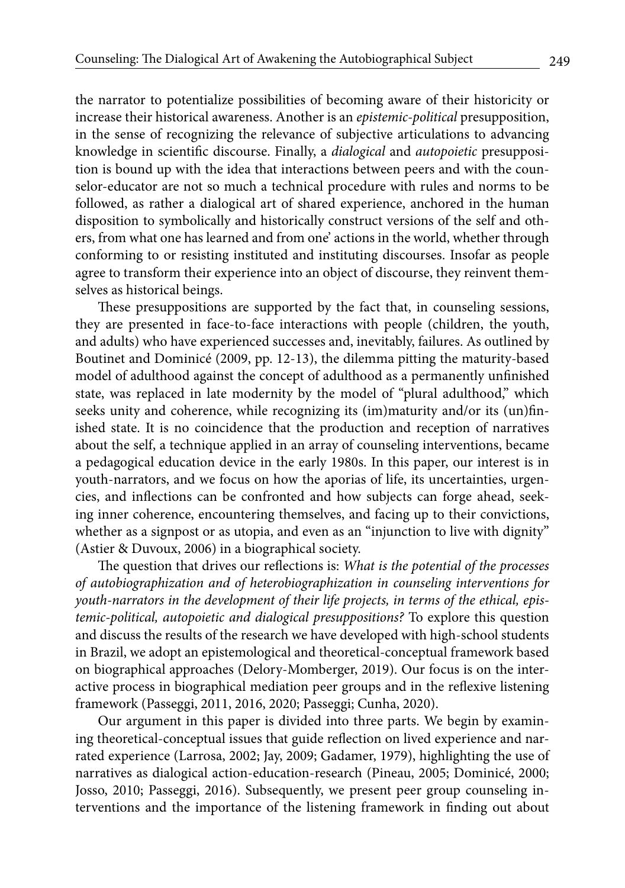the narrator to potentialize possibilities of becoming aware of their historicity or increase their historical awareness. Another is an *epistemic-political* presupposition, in the sense of recognizing the relevance of subjective articulations to advancing knowledge in scientific discourse. Finally, a *dialogical* and *autopoietic* presupposition is bound up with the idea that interactions between peers and with the counselor-educator are not so much a technical procedure with rules and norms to be followed, as rather a dialogical art of shared experience, anchored in the human disposition to symbolically and historically construct versions of the self and others, from what one has learned and from one' actions in the world, whether through conforming to or resisting instituted and instituting discourses. Insofar as people agree to transform their experience into an object of discourse, they reinvent themselves as historical beings.

These presuppositions are supported by the fact that, in counseling sessions, they are presented in face-to-face interactions with people (children, the youth, and adults) who have experienced successes and, inevitably, failures. As outlined by Boutinet and Dominicé (2009, pp. 12-13), the dilemma pitting the maturity-based model of adulthood against the concept of adulthood as a permanently unfinished state, was replaced in late modernity by the model of "plural adulthood," which seeks unity and coherence, while recognizing its (im)maturity and/or its (un)finished state. It is no coincidence that the production and reception of narratives about the self, a technique applied in an array of counseling interventions, became a pedagogical education device in the early 1980s. In this paper, our interest is in youth-narrators, and we focus on how the aporias of life, its uncertainties, urgencies, and inflections can be confronted and how subjects can forge ahead, seeking inner coherence, encountering themselves, and facing up to their convictions, whether as a signpost or as utopia, and even as an "injunction to live with dignity" (Astier & Duvoux, 2006) in a biographical society.

The question that drives our reflections is: *What is the potential of the processes of autobiographization and of heterobiographization in counseling interventions for youth-narrators in the development of their life projects, in terms of the ethical, epistemic-political, autopoietic and dialogical presuppositions?* To explore this question and discuss the results of the research we have developed with high-school students in Brazil, we adopt an epistemological and theoretical-conceptual framework based on biographical approaches (Delory-Momberger, 2019). Our focus is on the interactive process in biographical mediation peer groups and in the reflexive listening framework (Passeggi, 2011, 2016, 2020; Passeggi; Cunha, 2020).

Our argument in this paper is divided into three parts. We begin by examining theoretical-conceptual issues that guide reflection on lived experience and narrated experience (Larrosa, 2002; Jay, 2009; Gadamer, 1979), highlighting the use of narratives as dialogical action-education-research (Pineau, 2005; Dominicé, 2000; Josso, 2010; Passeggi, 2016). Subsequently, we present peer group counseling interventions and the importance of the listening framework in finding out about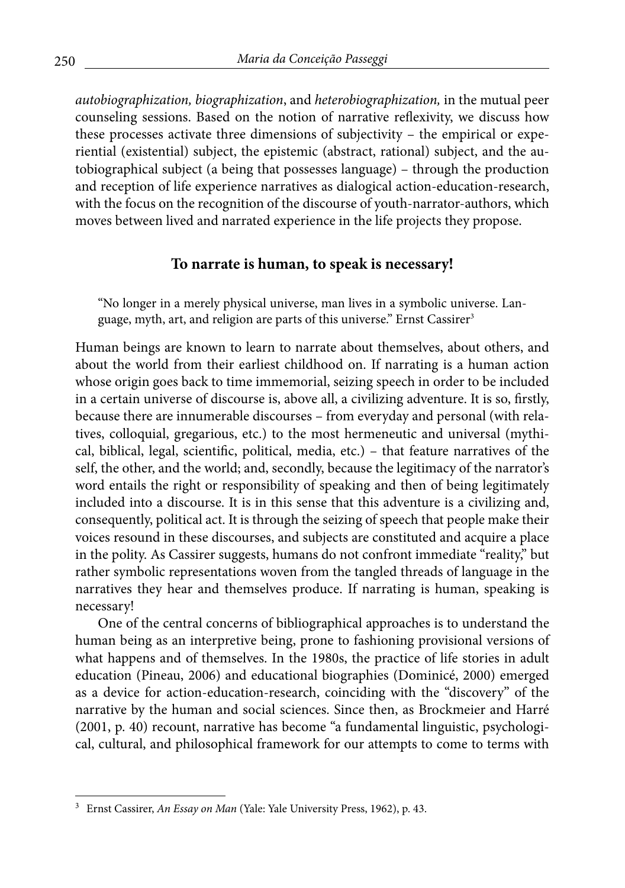*autobiographization, biographization*, and *heterobiographization,* in the mutual peer counseling sessions. Based on the notion of narrative reflexivity, we discuss how these processes activate three dimensions of subjectivity – the empirical or experiential (existential) subject, the epistemic (abstract, rational) subject, and the autobiographical subject (a being that possesses language) – through the production and reception of life experience narratives as dialogical action-education-research, with the focus on the recognition of the discourse of youth-narrator-authors, which moves between lived and narrated experience in the life projects they propose.

#### **To narrate is human, to speak is necessary!**

"No longer in a merely physical universe, man lives in a symbolic universe. Language, myth, art, and religion are parts of this universe." Ernst Cassirer<sup>3</sup>

Human beings are known to learn to narrate about themselves, about others, and about the world from their earliest childhood on. If narrating is a human action whose origin goes back to time immemorial, seizing speech in order to be included in a certain universe of discourse is, above all, a civilizing adventure. It is so, firstly, because there are innumerable discourses – from everyday and personal (with relatives, colloquial, gregarious, etc.) to the most hermeneutic and universal (mythical, biblical, legal, scientific, political, media, etc.) – that feature narratives of the self, the other, and the world; and, secondly, because the legitimacy of the narrator's word entails the right or responsibility of speaking and then of being legitimately included into a discourse. It is in this sense that this adventure is a civilizing and, consequently, political act. It is through the seizing of speech that people make their voices resound in these discourses, and subjects are constituted and acquire a place in the polity. As Cassirer suggests, humans do not confront immediate "reality," but rather symbolic representations woven from the tangled threads of language in the narratives they hear and themselves produce. If narrating is human, speaking is necessary!

One of the central concerns of bibliographical approaches is to understand the human being as an interpretive being, prone to fashioning provisional versions of what happens and of themselves. In the 1980s, the practice of life stories in adult education (Pineau, 2006) and educational biographies (Dominicé, 2000) emerged as a device for action-education-research, coinciding with the "discovery" of the narrative by the human and social sciences. Since then, as Brockmeier and Harré (2001, p. 40) recount, narrative has become "a fundamental linguistic, psychological, cultural, and philosophical framework for our attempts to come to terms with

<sup>3</sup> Ernst Cassirer, *An Essay on Man* (Yale: Yale University Press, 1962), p. 43.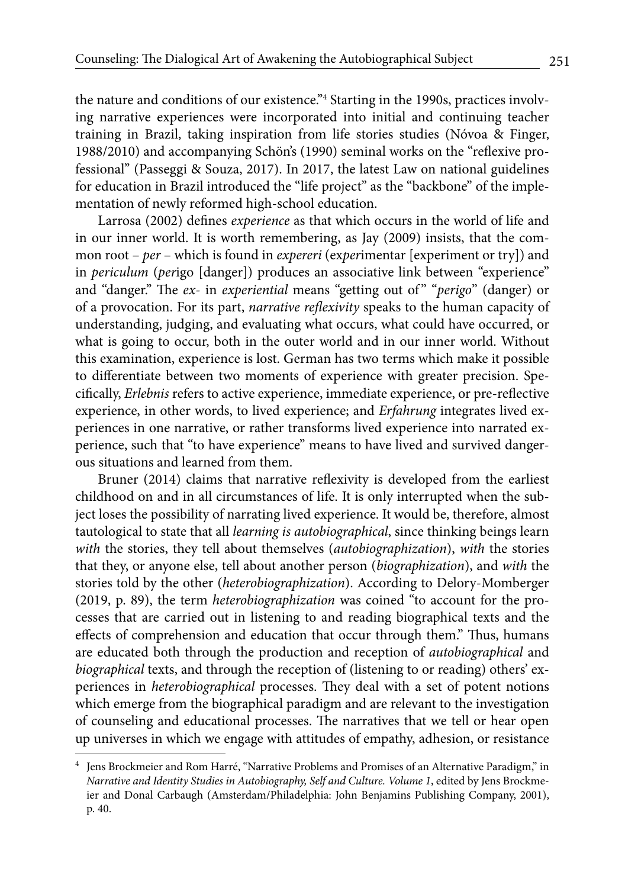the nature and conditions of our existence."4 Starting in the 1990s, practices involving narrative experiences were incorporated into initial and continuing teacher training in Brazil, taking inspiration from life stories studies (Nóvoa & Finger, 1988/2010) and accompanying Schön's (1990) seminal works on the "reflexive professional" (Passeggi & Souza, 2017). In 2017, the latest Law on national guidelines for education in Brazil introduced the "life project" as the "backbone" of the implementation of newly reformed high-school education.

Larrosa (2002) defines *experience* as that which occurs in the world of life and in our inner world. It is worth remembering, as Jay (2009) insists, that the common root – *per* – which is found in *expereri* (ex*per*imentar [experiment or try]) and in *periculum* (*per*igo [danger]) produces an associative link between "experience" and "danger." The *ex-* in *experiential* means "getting out of " "*perigo*" (danger) or of a provocation. For its part, *narrative reflexivity* speaks to the human capacity of understanding, judging, and evaluating what occurs, what could have occurred, or what is going to occur, both in the outer world and in our inner world. Without this examination, experience is lost. German has two terms which make it possible to differentiate between two moments of experience with greater precision. Specifically, *Erlebnis* refers to active experience, immediate experience, or pre-reflective experience, in other words, to lived experience; and *Erfahrung* integrates lived experiences in one narrative, or rather transforms lived experience into narrated experience, such that "to have experience" means to have lived and survived dangerous situations and learned from them.

Bruner (2014) claims that narrative reflexivity is developed from the earliest childhood on and in all circumstances of life. It is only interrupted when the subject loses the possibility of narrating lived experience. It would be, therefore, almost tautological to state that all *learning is autobiographical*, since thinking beings learn *with* the stories, they tell about themselves (*autobiographization*), *with* the stories that they, or anyone else, tell about another person (*biographization*), and *with* the stories told by the other (*heterobiographization*). According to Delory-Momberger (2019, p. 89), the term *heterobiographization* was coined "to account for the processes that are carried out in listening to and reading biographical texts and the effects of comprehension and education that occur through them." Thus, humans are educated both through the production and reception of *autobiographical* and *biographical* texts, and through the reception of (listening to or reading) others' experiences in *heterobiographical* processes. They deal with a set of potent notions which emerge from the biographical paradigm and are relevant to the investigation of counseling and educational processes. The narratives that we tell or hear open up universes in which we engage with attitudes of empathy, adhesion, or resistance

<sup>4</sup> Jens Brockmeier and Rom Harré, "Narrative Problems and Promises of an Alternative Paradigm," in *Narrative and Identity Studies in Autobiography, Self and Culture. Volume 1*, edited by Jens Brockmeier and Donal Carbaugh (Amsterdam/Philadelphia: John Benjamins Publishing Company, 2001), p. 40.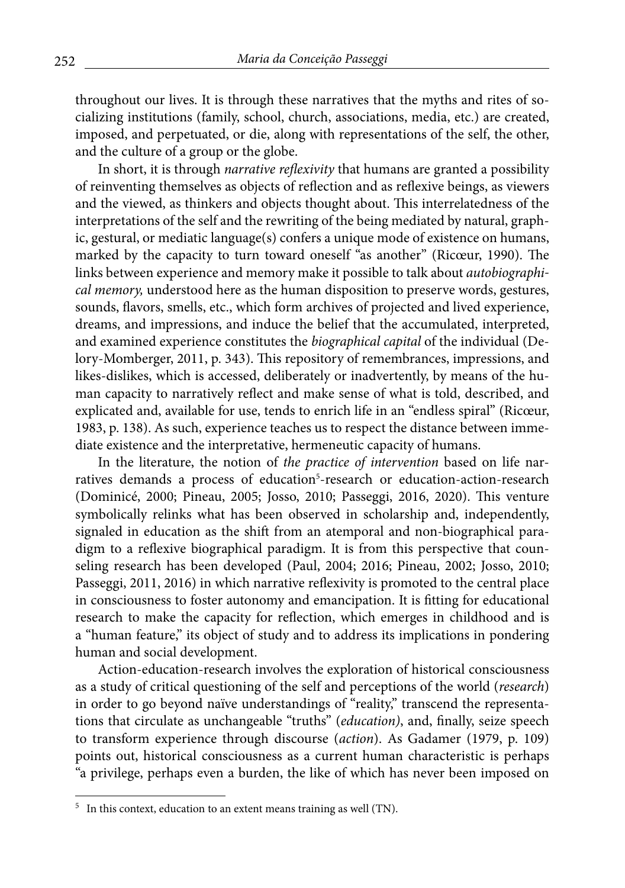throughout our lives. It is through these narratives that the myths and rites of socializing institutions (family, school, church, associations, media, etc.) are created, imposed, and perpetuated, or die, along with representations of the self, the other, and the culture of a group or the globe.

In short, it is through *narrative reflexivity* that humans are granted a possibility of reinventing themselves as objects of reflection and as reflexive beings, as viewers and the viewed, as thinkers and objects thought about. This interrelatedness of the interpretations of the self and the rewriting of the being mediated by natural, graphic, gestural, or mediatic language(s) confers a unique mode of existence on humans, marked by the capacity to turn toward oneself "as another" (Ricœur, 1990). The links between experience and memory make it possible to talk about *autobiographical memory,* understood here as the human disposition to preserve words, gestures, sounds, flavors, smells, etc., which form archives of projected and lived experience, dreams, and impressions, and induce the belief that the accumulated, interpreted, and examined experience constitutes the *biographical capital* of the individual (Delory-Momberger, 2011, p. 343). This repository of remembrances, impressions, and likes-dislikes, which is accessed, deliberately or inadvertently, by means of the human capacity to narratively reflect and make sense of what is told, described, and explicated and, available for use, tends to enrich life in an "endless spiral" (Ricœur, 1983, p. 138). As such, experience teaches us to respect the distance between immediate existence and the interpretative, hermeneutic capacity of humans.

In the literature, the notion of *the practice of intervention* based on life narratives demands a process of education<sup>5</sup>-research or education-action-research (Dominicé, 2000; Pineau, 2005; Josso, 2010; Passeggi, 2016, 2020). This venture symbolically relinks what has been observed in scholarship and, independently, signaled in education as the shift from an atemporal and non-biographical paradigm to a reflexive biographical paradigm. It is from this perspective that counseling research has been developed (Paul, 2004; 2016; Pineau, 2002; Josso, 2010; Passeggi, 2011, 2016) in which narrative reflexivity is promoted to the central place in consciousness to foster autonomy and emancipation. It is fitting for educational research to make the capacity for reflection, which emerges in childhood and is a "human feature," its object of study and to address its implications in pondering human and social development.

Action-education-research involves the exploration of historical consciousness as a study of critical questioning of the self and perceptions of the world (*research*) in order to go beyond naïve understandings of "reality," transcend the representations that circulate as unchangeable "truths" (*education)*, and, finally, seize speech to transform experience through discourse (*action*). As Gadamer (1979, p. 109) points out, historical consciousness as a current human characteristic is perhaps "a privilege, perhaps even a burden, the like of which has never been imposed on

<sup>&</sup>lt;sup>5</sup> In this context, education to an extent means training as well (TN).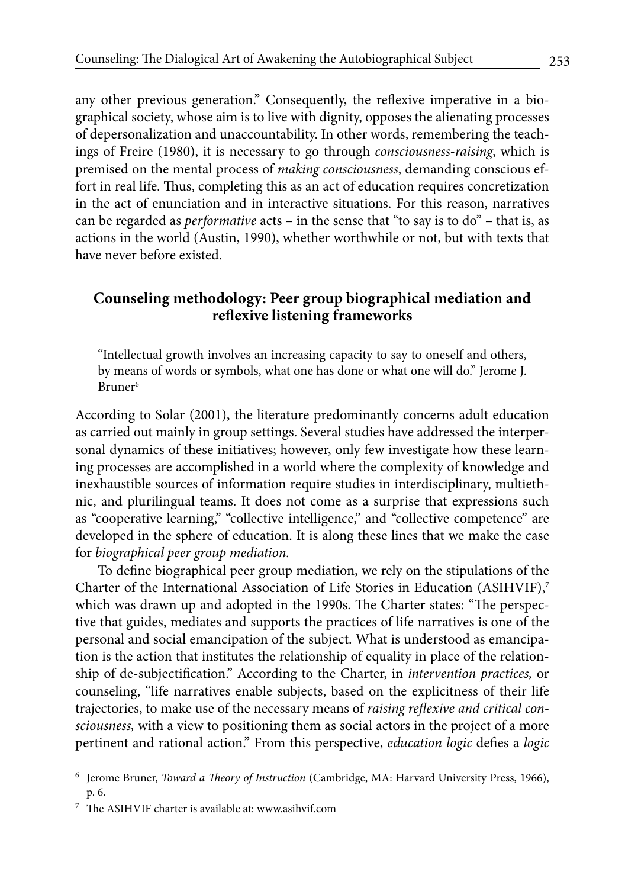any other previous generation." Consequently, the reflexive imperative in a biographical society, whose aim is to live with dignity, opposes the alienating processes of depersonalization and unaccountability. In other words, remembering the teachings of Freire (1980), it is necessary to go through *consciousness-raising*, which is premised on the mental process of *making consciousness*, demanding conscious effort in real life. Thus, completing this as an act of education requires concretization in the act of enunciation and in interactive situations. For this reason, narratives can be regarded as *performative* acts – in the sense that "to say is to do" – that is, as actions in the world (Austin, 1990), whether worthwhile or not, but with texts that have never before existed.

# **Counseling methodology: Peer group biographical mediation and reflexive listening frameworks**

"Intellectual growth involves an increasing capacity to say to oneself and others, by means of words or symbols, what one has done or what one will do." Jerome J. Bruner6

According to Solar (2001), the literature predominantly concerns adult education as carried out mainly in group settings. Several studies have addressed the interpersonal dynamics of these initiatives; however, only few investigate how these learning processes are accomplished in a world where the complexity of knowledge and inexhaustible sources of information require studies in interdisciplinary, multiethnic, and plurilingual teams. It does not come as a surprise that expressions such as "cooperative learning," "collective intelligence," and "collective competence" are developed in the sphere of education. It is along these lines that we make the case for *biographical peer group mediation.*

To define biographical peer group mediation, we rely on the stipulations of the Charter of the International Association of Life Stories in Education  $(ASHVIF)<sup>7</sup>$ which was drawn up and adopted in the 1990s. The Charter states: "The perspective that guides, mediates and supports the practices of life narratives is one of the personal and social emancipation of the subject. What is understood as emancipation is the action that institutes the relationship of equality in place of the relationship of de-subjectification." According to the Charter, in *intervention practices,* or counseling, "life narratives enable subjects, based on the explicitness of their life trajectories, to make use of the necessary means of *raising reflexive and critical consciousness,* with a view to positioning them as social actors in the project of a more pertinent and rational action." From this perspective, *education logic* defies a *logic*

<sup>6</sup> Jerome Bruner, *Toward a Theory of Instruction* (Cambridge, MA: Harvard University Press, 1966), p. 6.

<sup>7</sup> The ASIHVIF charter is available at: www.asihvif.com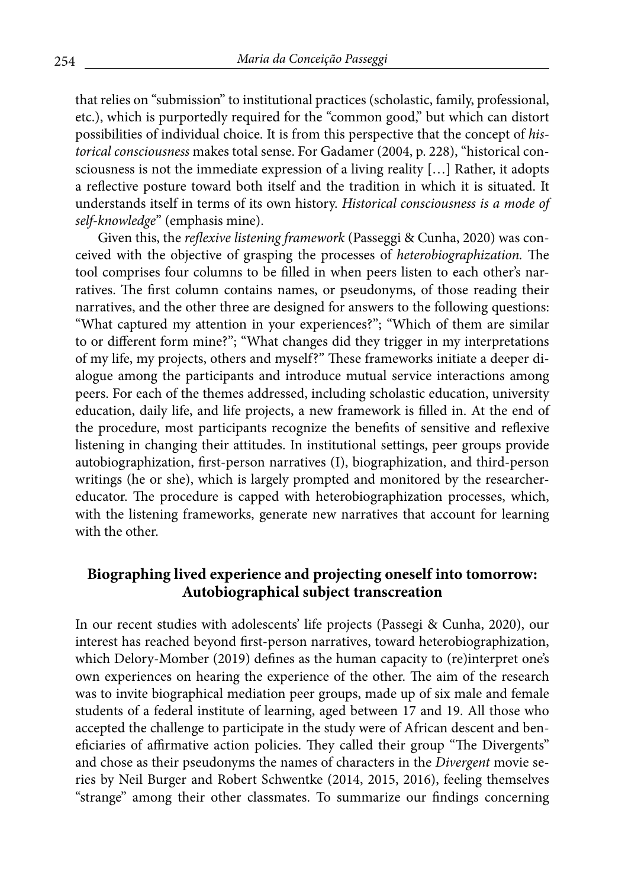that relies on "submission" to institutional practices (scholastic, family, professional, etc.), which is purportedly required for the "common good," but which can distort possibilities of individual choice. It is from this perspective that the concept of *historical consciousness* makes total sense. For Gadamer (2004, p. 228), "historical consciousness is not the immediate expression of a living reality […] Rather, it adopts a reflective posture toward both itself and the tradition in which it is situated. It understands itself in terms of its own history. *Historical consciousness is a mode of self-knowledge*" (emphasis mine).

Given this, the *reflexive listening framework* (Passeggi & Cunha, 2020) was conceived with the objective of grasping the processes of *heterobiographization.* The tool comprises four columns to be filled in when peers listen to each other's narratives. The first column contains names, or pseudonyms, of those reading their narratives, and the other three are designed for answers to the following questions: "What captured my attention in your experiences?"; "Which of them are similar to or different form mine?"; "What changes did they trigger in my interpretations of my life, my projects, others and myself?" These frameworks initiate a deeper dialogue among the participants and introduce mutual service interactions among peers. For each of the themes addressed, including scholastic education, university education, daily life, and life projects, a new framework is filled in. At the end of the procedure, most participants recognize the benefits of sensitive and reflexive listening in changing their attitudes. In institutional settings, peer groups provide autobiographization, first-person narratives (I), biographization, and third-person writings (he or she), which is largely prompted and monitored by the researchereducator. The procedure is capped with heterobiographization processes, which, with the listening frameworks, generate new narratives that account for learning with the other.

## **Biographing lived experience and projecting oneself into tomorrow: Autobiographical subject transcreation**

In our recent studies with adolescents' life projects (Passegi & Cunha, 2020), our interest has reached beyond first-person narratives, toward heterobiographization, which Delory-Momber (2019) defines as the human capacity to (re)interpret one's own experiences on hearing the experience of the other. The aim of the research was to invite biographical mediation peer groups, made up of six male and female students of a federal institute of learning, aged between 17 and 19. All those who accepted the challenge to participate in the study were of African descent and beneficiaries of affirmative action policies. They called their group "The Divergents" and chose as their pseudonyms the names of characters in the *Divergent* movie series by Neil Burger and Robert Schwentke (2014, 2015, 2016), feeling themselves "strange" among their other classmates. To summarize our findings concerning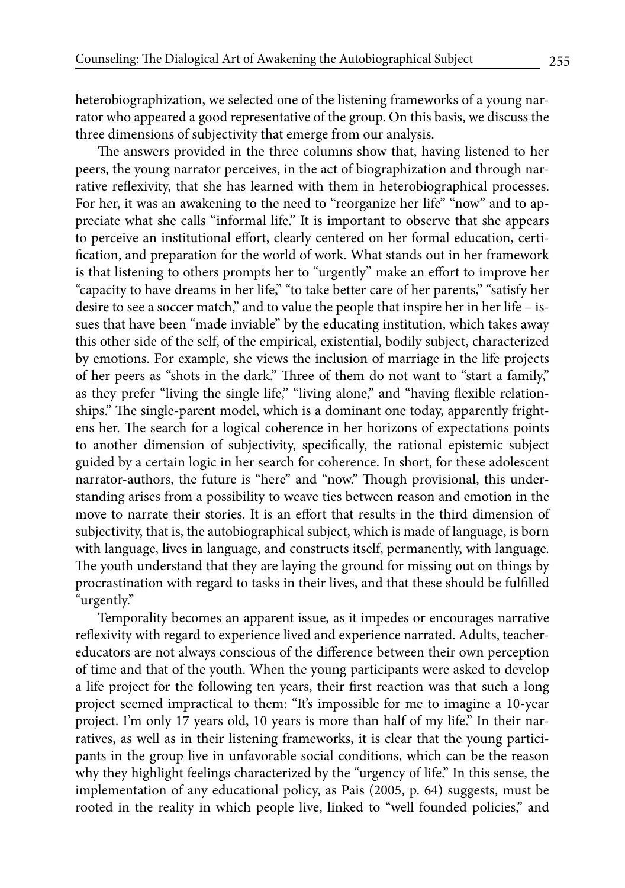heterobiographization, we selected one of the listening frameworks of a young narrator who appeared a good representative of the group. On this basis, we discuss the three dimensions of subjectivity that emerge from our analysis.

The answers provided in the three columns show that, having listened to her peers, the young narrator perceives, in the act of biographization and through narrative reflexivity, that she has learned with them in heterobiographical processes. For her, it was an awakening to the need to "reorganize her life" "now" and to appreciate what she calls "informal life." It is important to observe that she appears to perceive an institutional effort, clearly centered on her formal education, certification, and preparation for the world of work. What stands out in her framework is that listening to others prompts her to "urgently" make an effort to improve her "capacity to have dreams in her life," "to take better care of her parents," "satisfy her desire to see a soccer match," and to value the people that inspire her in her life – issues that have been "made inviable" by the educating institution, which takes away this other side of the self, of the empirical, existential, bodily subject, characterized by emotions. For example, she views the inclusion of marriage in the life projects of her peers as "shots in the dark." Three of them do not want to "start a family," as they prefer "living the single life," "living alone," and "having flexible relationships." The single-parent model, which is a dominant one today, apparently frightens her. The search for a logical coherence in her horizons of expectations points to another dimension of subjectivity, specifically, the rational epistemic subject guided by a certain logic in her search for coherence. In short, for these adolescent narrator-authors, the future is "here" and "now." Though provisional, this understanding arises from a possibility to weave ties between reason and emotion in the move to narrate their stories. It is an effort that results in the third dimension of subjectivity, that is, the autobiographical subject, which is made of language, is born with language, lives in language, and constructs itself, permanently, with language. The youth understand that they are laying the ground for missing out on things by procrastination with regard to tasks in their lives, and that these should be fulfilled "urgently."

Temporality becomes an apparent issue, as it impedes or encourages narrative reflexivity with regard to experience lived and experience narrated. Adults, teachereducators are not always conscious of the difference between their own perception of time and that of the youth. When the young participants were asked to develop a life project for the following ten years, their first reaction was that such a long project seemed impractical to them: "It's impossible for me to imagine a 10-year project. I'm only 17 years old, 10 years is more than half of my life." In their narratives, as well as in their listening frameworks, it is clear that the young participants in the group live in unfavorable social conditions, which can be the reason why they highlight feelings characterized by the "urgency of life." In this sense, the implementation of any educational policy, as Pais (2005, p. 64) suggests, must be rooted in the reality in which people live, linked to "well founded policies," and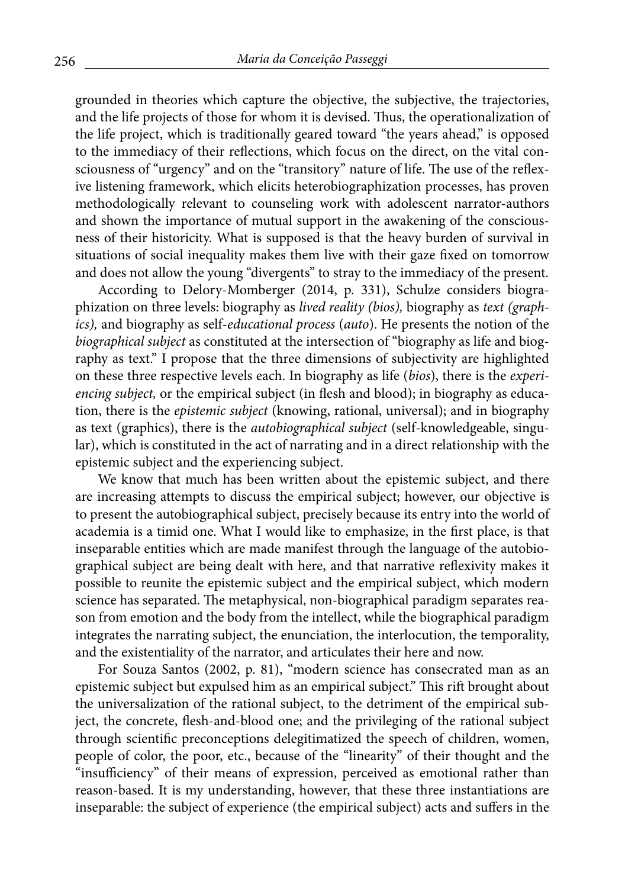grounded in theories which capture the objective, the subjective, the trajectories, and the life projects of those for whom it is devised. Thus, the operationalization of the life project, which is traditionally geared toward "the years ahead," is opposed to the immediacy of their reflections, which focus on the direct, on the vital consciousness of "urgency" and on the "transitory" nature of life. The use of the reflexive listening framework, which elicits heterobiographization processes, has proven methodologically relevant to counseling work with adolescent narrator-authors and shown the importance of mutual support in the awakening of the consciousness of their historicity. What is supposed is that the heavy burden of survival in situations of social inequality makes them live with their gaze fixed on tomorrow and does not allow the young "divergents" to stray to the immediacy of the present.

According to Delory-Momberger (2014, p. 331), Schulze considers biographization on three levels: biography as *lived reality (bios),* biography as *text (graphics),* and biography as self-*educational process* (*auto*). He presents the notion of the *biographical subject* as constituted at the intersection of "biography as life and biography as text." I propose that the three dimensions of subjectivity are highlighted on these three respective levels each. In biography as life (*bios*), there is the *experiencing subject,* or the empirical subject (in flesh and blood); in biography as education, there is the *epistemic subject* (knowing, rational, universal); and in biography as text (graphics), there is the *autobiographical subject* (self-knowledgeable, singular), which is constituted in the act of narrating and in a direct relationship with the epistemic subject and the experiencing subject.

We know that much has been written about the epistemic subject, and there are increasing attempts to discuss the empirical subject; however, our objective is to present the autobiographical subject, precisely because its entry into the world of academia is a timid one. What I would like to emphasize, in the first place, is that inseparable entities which are made manifest through the language of the autobiographical subject are being dealt with here, and that narrative reflexivity makes it possible to reunite the epistemic subject and the empirical subject, which modern science has separated. The metaphysical, non-biographical paradigm separates reason from emotion and the body from the intellect, while the biographical paradigm integrates the narrating subject, the enunciation, the interlocution, the temporality, and the existentiality of the narrator, and articulates their here and now.

For Souza Santos (2002, p. 81), "modern science has consecrated man as an epistemic subject but expulsed him as an empirical subject." This rift brought about the universalization of the rational subject, to the detriment of the empirical subject, the concrete, flesh-and-blood one; and the privileging of the rational subject through scientific preconceptions delegitimatized the speech of children, women, people of color, the poor, etc., because of the "linearity" of their thought and the "insufficiency" of their means of expression, perceived as emotional rather than reason-based. It is my understanding, however, that these three instantiations are inseparable: the subject of experience (the empirical subject) acts and suffers in the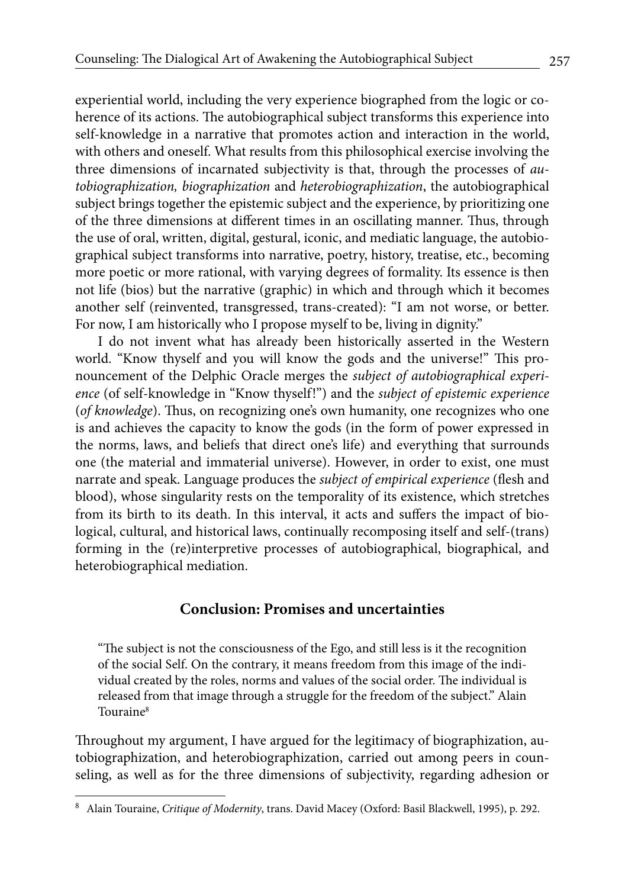experiential world, including the very experience biographed from the logic or coherence of its actions. The autobiographical subject transforms this experience into self-knowledge in a narrative that promotes action and interaction in the world, with others and oneself. What results from this philosophical exercise involving the three dimensions of incarnated subjectivity is that, through the processes of *autobiographization, biographization* and *heterobiographization*, the autobiographical subject brings together the epistemic subject and the experience, by prioritizing one of the three dimensions at different times in an oscillating manner. Thus, through the use of oral, written, digital, gestural, iconic, and mediatic language, the autobiographical subject transforms into narrative, poetry, history, treatise, etc., becoming more poetic or more rational, with varying degrees of formality. Its essence is then not life (bios) but the narrative (graphic) in which and through which it becomes another self (reinvented, transgressed, trans-created): "I am not worse, or better. For now, I am historically who I propose myself to be, living in dignity."

I do not invent what has already been historically asserted in the Western world. "Know thyself and you will know the gods and the universe!" This pronouncement of the Delphic Oracle merges the *subject of autobiographical experience* (of self-knowledge in "Know thyself!") and the *subject of epistemic experience*  (*of knowledge*). Thus, on recognizing one's own humanity, one recognizes who one is and achieves the capacity to know the gods (in the form of power expressed in the norms, laws, and beliefs that direct one's life) and everything that surrounds one (the material and immaterial universe). However, in order to exist, one must narrate and speak. Language produces the *subject of empirical experience* (flesh and blood), whose singularity rests on the temporality of its existence, which stretches from its birth to its death. In this interval, it acts and suffers the impact of biological, cultural, and historical laws, continually recomposing itself and self-(trans) forming in the (re)interpretive processes of autobiographical, biographical, and heterobiographical mediation.

## **Conclusion: Promises and uncertainties**

"The subject is not the consciousness of the Ego, and still less is it the recognition of the social Self. On the contrary, it means freedom from this image of the individual created by the roles, norms and values of the social order. The individual is released from that image through a struggle for the freedom of the subject." Alain Touraine8

Throughout my argument, I have argued for the legitimacy of biographization, autobiographization, and heterobiographization, carried out among peers in counseling, as well as for the three dimensions of subjectivity, regarding adhesion or

<sup>8</sup> Alain Touraine, *Critique of Modernity*, trans. David Macey (Oxford: Basil Blackwell, 1995), p. 292.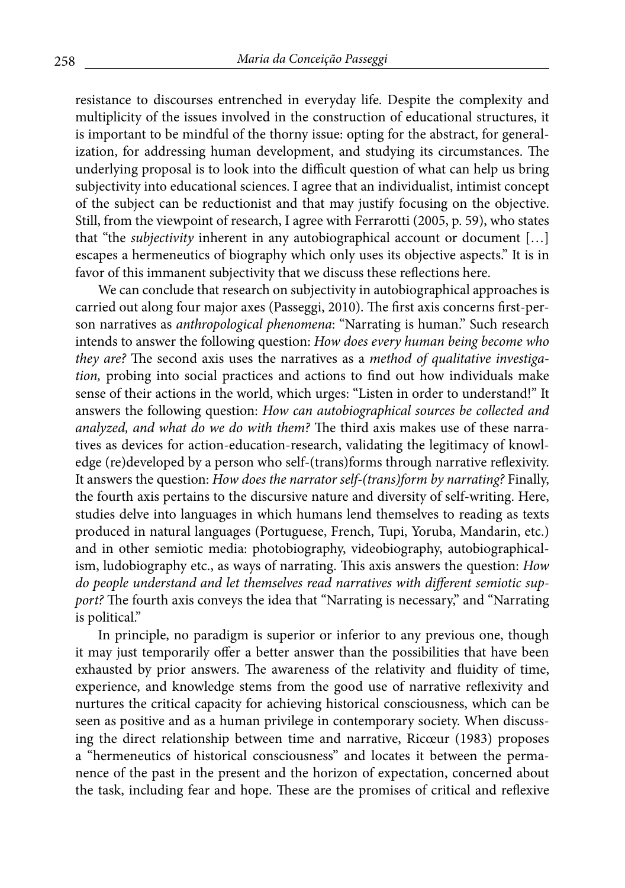resistance to discourses entrenched in everyday life. Despite the complexity and multiplicity of the issues involved in the construction of educational structures, it is important to be mindful of the thorny issue: opting for the abstract, for generalization, for addressing human development, and studying its circumstances. The underlying proposal is to look into the difficult question of what can help us bring subjectivity into educational sciences. I agree that an individualist, intimist concept of the subject can be reductionist and that may justify focusing on the objective. Still, from the viewpoint of research, I agree with Ferrarotti (2005, p. 59), who states that "the *subjectivity* inherent in any autobiographical account or document […] escapes a hermeneutics of biography which only uses its objective aspects." It is in favor of this immanent subjectivity that we discuss these reflections here.

We can conclude that research on subjectivity in autobiographical approaches is carried out along four major axes (Passeggi, 2010). The first axis concerns first-person narratives as *anthropological phenomena*: "Narrating is human." Such research intends to answer the following question: *How does every human being become who they are?* The second axis uses the narratives as a *method of qualitative investigation,* probing into social practices and actions to find out how individuals make sense of their actions in the world, which urges: "Listen in order to understand!" It answers the following question: *How can autobiographical sources be collected and analyzed, and what do we do with them?* The third axis makes use of these narratives as devices for action-education-research, validating the legitimacy of knowledge (re)developed by a person who self-(trans)forms through narrative reflexivity. It answers the question: *How does the narrator self-(trans)form by narrating?* Finally, the fourth axis pertains to the discursive nature and diversity of self-writing. Here, studies delve into languages in which humans lend themselves to reading as texts produced in natural languages (Portuguese, French, Tupi, Yoruba, Mandarin, etc.) and in other semiotic media: photobiography, videobiography, autobiographicalism, ludobiography etc., as ways of narrating. This axis answers the question: *How do people understand and let themselves read narratives with different semiotic support?* The fourth axis conveys the idea that "Narrating is necessary," and "Narrating is political."

In principle, no paradigm is superior or inferior to any previous one, though it may just temporarily offer a better answer than the possibilities that have been exhausted by prior answers. The awareness of the relativity and fluidity of time, experience, and knowledge stems from the good use of narrative reflexivity and nurtures the critical capacity for achieving historical consciousness, which can be seen as positive and as a human privilege in contemporary society. When discussing the direct relationship between time and narrative, Ricœur (1983) proposes a "hermeneutics of historical consciousness" and locates it between the permanence of the past in the present and the horizon of expectation, concerned about the task, including fear and hope. These are the promises of critical and reflexive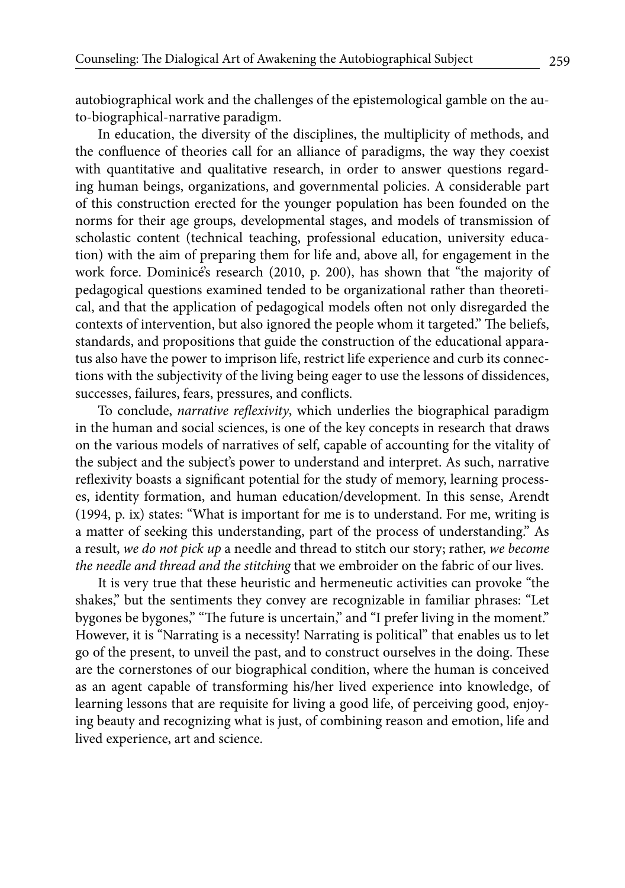autobiographical work and the challenges of the epistemological gamble on the auto-biographical-narrative paradigm.

In education, the diversity of the disciplines, the multiplicity of methods, and the confluence of theories call for an alliance of paradigms, the way they coexist with quantitative and qualitative research, in order to answer questions regarding human beings, organizations, and governmental policies. A considerable part of this construction erected for the younger population has been founded on the norms for their age groups, developmental stages, and models of transmission of scholastic content (technical teaching, professional education, university education) with the aim of preparing them for life and, above all, for engagement in the work force. Dominicé's research (2010, p. 200), has shown that "the majority of pedagogical questions examined tended to be organizational rather than theoretical, and that the application of pedagogical models often not only disregarded the contexts of intervention, but also ignored the people whom it targeted." The beliefs, standards, and propositions that guide the construction of the educational apparatus also have the power to imprison life, restrict life experience and curb its connections with the subjectivity of the living being eager to use the lessons of dissidences, successes, failures, fears, pressures, and conflicts.

To conclude, *narrative reflexivity*, which underlies the biographical paradigm in the human and social sciences, is one of the key concepts in research that draws on the various models of narratives of self, capable of accounting for the vitality of the subject and the subject's power to understand and interpret. As such, narrative reflexivity boasts a significant potential for the study of memory, learning processes, identity formation, and human education/development. In this sense, Arendt (1994, p. ix) states: "What is important for me is to understand. For me, writing is a matter of seeking this understanding, part of the process of understanding." As a result, *we do not pick up* a needle and thread to stitch our story; rather, *we become the needle and thread and the stitching* that we embroider on the fabric of our lives.

It is very true that these heuristic and hermeneutic activities can provoke "the shakes," but the sentiments they convey are recognizable in familiar phrases: "Let bygones be bygones," "The future is uncertain," and "I prefer living in the moment." However, it is "Narrating is a necessity! Narrating is political" that enables us to let go of the present, to unveil the past, and to construct ourselves in the doing. These are the cornerstones of our biographical condition, where the human is conceived as an agent capable of transforming his/her lived experience into knowledge, of learning lessons that are requisite for living a good life, of perceiving good, enjoying beauty and recognizing what is just, of combining reason and emotion, life and lived experience, art and science.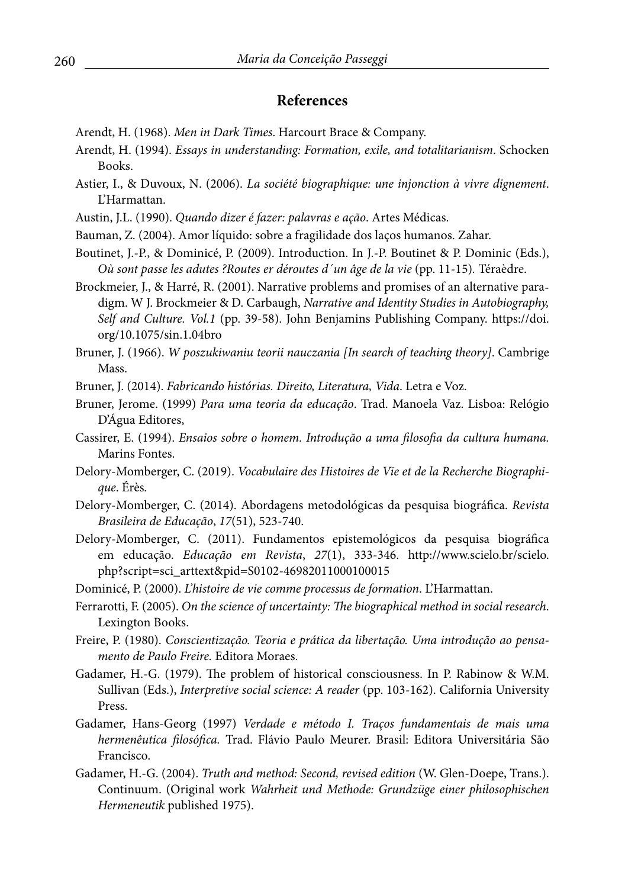#### **References**

- Arendt, H. (1968). *Men in Dark Times*. Harcourt Brace & Company.
- Arendt, H. (1994). *Essays in understanding: Formation, exile, and totalitarianism*. Schocken Books.
- Astier, I., & Duvoux, N. (2006). *La société biographique: une injonction à vivre dignement*. L'Harmattan.
- Austin, J.L. (1990). *Quando dizer é fazer: palavras e ação*. Artes Médicas.
- Bauman, Z. (2004). Amor líquido: sobre a fragilidade dos laços humanos. Zahar.

Boutinet, J.-P., & Dominicé, P. (2009). Introduction. In J.-P. Boutinet & P. Dominic (Eds.), *Où sont passe les adutes ?Routes er déroutes d´un âge de la vie* (pp. 11-15)*.* Téraèdre.

Brockmeier, J., & Harré, R. (2001). Narrative problems and promises of an alternative paradigm. W J. Brockmeier & D. Carbaugh, *Narrative and Identity Studies in Autobiography, Self and Culture. Vol.1* (pp. 39-58). John Benjamins Publishing Company. https://doi. org/10.1075/sin.1.04bro

Bruner, J. (1966). *W poszukiwaniu teorii nauczania [In search of teaching theory]*. Cambrige Mass.

Bruner, J. (2014). *Fabricando histórias. Direito, Literatura, Vida*. Letra e Voz.

Bruner, Jerome. (1999) *Para uma teoria da educação*. Trad. Manoela Vaz. Lisboa: Relógio D'Água Editores,

- Cassirer, E. (1994). *Ensaios sobre o homem. Introdução a uma filosofia da cultura humana.* Marins Fontes.
- Delory-Momberger, C. (2019). *Vocabulaire des Histoires de Vie et de la Recherche Biographique*. Érès*.*
- Delory-Momberger, C. (2014). Abordagens metodológicas da pesquisa biográfica. *Revista Brasileira de Educação*, *17*(51), 523-740.
- Delory-Momberger, C. (2011). Fundamentos epistemológicos da pesquisa biográfica em educação. *Educação em Revista*, *27*(1), 333-346. http://www.scielo.br/scielo. php?script=sci\_arttext&pid=S0102-46982011000100015
- Dominicé, P. (2000). *L'histoire de vie comme processus de formation*. L'Harmattan.
- Ferrarotti, F. (2005). *On the science of uncertainty: The biographical method in social research*. Lexington Books.
- Freire, P. (1980). *Conscientização. Teoria e prática da libertação. Uma introdução ao pensamento de Paulo Freire.* Editora Moraes.
- Gadamer, H.-G. (1979). The problem of historical consciousness. In P. Rabinow & W.M. Sullivan (Eds.), *Interpretive social science: A reader* (pp. 103-162). California University Press.
- Gadamer, Hans-Georg (1997) *Verdade e método I. Traços fundamentais de mais uma hermenêutica filosófica.* Trad. Flávio Paulo Meurer. Brasil: Editora Universitária São Francisco.
- Gadamer, H.-G. (2004). *Truth and method: Second, revised edition* (W. Glen-Doepe, Trans.). Continuum. (Original work *Wahrheit und Methode: Grundzüge einer philosophischen Hermeneutik* published 1975).